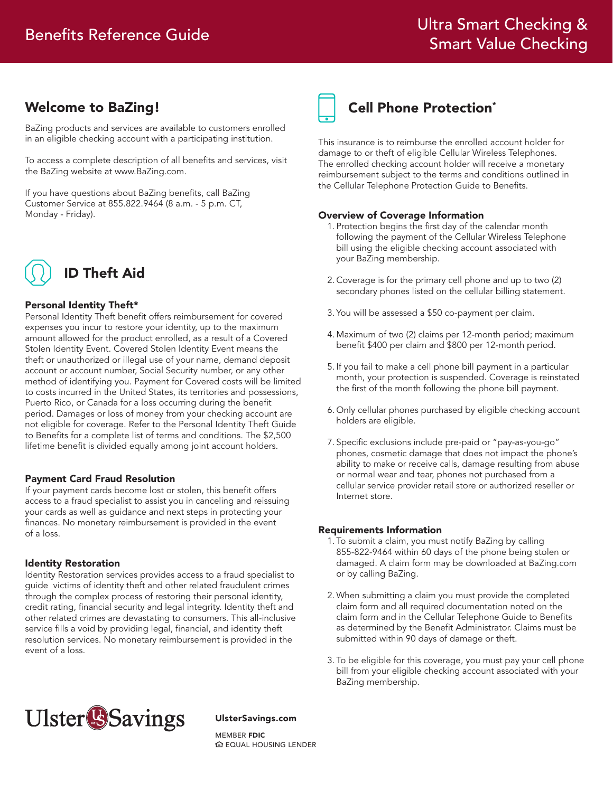# Welcome to BaZing!

BaZing products and services are available to customers enrolled in an eligible checking account with a participating institution.

To access a complete description of all benefits and services, visit the BaZing website at www.BaZing.com.

If you have questions about BaZing benefits, call BaZing Customer Service at 855.822.9464 (8 a.m. - 5 p.m. CT, Monday - Friday).



### Personal Identity Theft\*

Personal Identity Theft benefit offers reimbursement for covered expenses you incur to restore your identity, up to the maximum amount allowed for the product enrolled, as a result of a Covered Stolen Identity Event. Covered Stolen Identity Event means the theft or unauthorized or illegal use of your name, demand deposit account or account number, Social Security number, or any other method of identifying you. Payment for Covered costs will be limited to costs incurred in the United States, its territories and possessions, Puerto Rico, or Canada for a loss occurring during the benefit period. Damages or loss of money from your checking account are not eligible for coverage. Refer to the Personal Identity Theft Guide to Benefits for a complete list of terms and conditions. The \$2,500 lifetime benefit is divided equally among joint account holders.

#### Payment Card Fraud Resolution

If your payment cards become lost or stolen, this benefit offers access to a fraud specialist to assist you in canceling and reissuing your cards as well as guidance and next steps in protecting your finances. No monetary reimbursement is provided in the event of a loss.

#### Identity Restoration

Identity Restoration services provides access to a fraud specialist to guide victims of identity theft and other related fraudulent crimes through the complex process of restoring their personal identity, credit rating, financial security and legal integrity. Identity theft and other related crimes are devastating to consumers. This all-inclusive service fills a void by providing legal, financial, and identity theft resolution services. No monetary reimbursement is provided in the event of a loss.



# Cell Phone Protection\*

This insurance is to reimburse the enrolled account holder for damage to or theft of eligible Cellular Wireless Telephones. The enrolled checking account holder will receive a monetary reimbursement subject to the terms and conditions outlined in the Cellular Telephone Protection Guide to Benefits.

#### Overview of Coverage Information

- 1. Protection begins the first day of the calendar month following the payment of the Cellular Wireless Telephone bill using the eligible checking account associated with your BaZing membership.
- 2. Coverage is for the primary cell phone and up to two (2) secondary phones listed on the cellular billing statement.
- 3. You will be assessed a \$50 co-payment per claim.
- 4. Maximum of two (2) claims per 12-month period; maximum benefit \$400 per claim and \$800 per 12-month period.
- 5. If you fail to make a cell phone bill payment in a particular month, your protection is suspended. Coverage is reinstated the first of the month following the phone bill payment.
- 6. Only cellular phones purchased by eligible checking account holders are eligible.
- 7. Specific exclusions include pre-paid or "pay-as-you-go" phones, cosmetic damage that does not impact the phone's ability to make or receive calls, damage resulting from abuse or normal wear and tear, phones not purchased from a cellular service provider retail store or authorized reseller or Internet store.

#### Requirements Information

- 1. To submit a claim, you must notify BaZing by calling 855-822-9464 within 60 days of the phone being stolen or damaged. A claim form may be downloaded at BaZing.com or by calling BaZing.
- 2. When submitting a claim you must provide the completed claim form and all required documentation noted on the claim form and in the Cellular Telephone Guide to Benefits as determined by the Benefit Administrator. Claims must be submitted within 90 days of damage or theft.
- 3. To be eligible for this coverage, you must pay your cell phone bill from your eligible checking account associated with your BaZing membership.



#### UlsterSavings.com

MEMRER **EDIC** EQUAL HOUSING LENDER